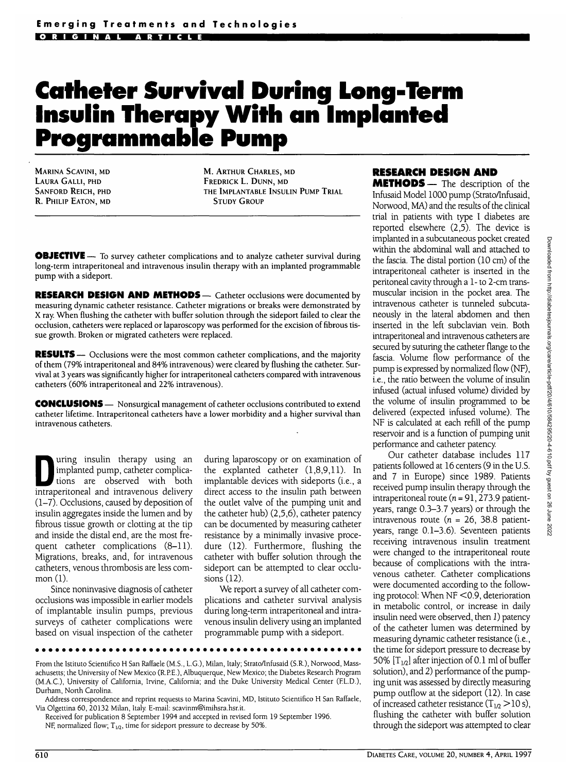# **Catheter Survival During Long-Term Insulin Therapy With an Implanted Programmable Pump**

MARINA SCAVINI, MD LAURA GALLI, PHD SANFORD REICH, PHD R. PHILIP EATON, MD

M. ARTHUR CHARLES, MD FREDRICK L. DUNN, MD THE IMPLANTABLE INSULIN PUMP TRIAL STUDY GROUP

**OBJECTIVE** — To survey catheter complications and to analyze catheter survival during long-term intraperitoneal and intravenous insulin therapy with an implanted programmable pump with a sideport.

**RESEARCH DESIGN AND METHODS** — Catheter occlusions were documented by measuring dynamic catheter resistance. Catheter migrations or breaks were demonstrated by X ray. When flushing the catheter with buffer solution through the sideport failed to clear the occlusion, catheters were replaced or laparoscopy was performed for the excision of fibrous tissue growth. Broken or migrated catheters were replaced.

**RESULTS** — Occlusions were the most common catheter complications, and the majority of them (79% intraperitoneal and 84% intravenous) were cleared by flushing the catheter. Survival at 3 years was significantly higher for intraperitoneal catheters compared with intravenous catheters (60% intraperitoneal and 22% intravenous).

**CONCLUSIONS** — Nonsurgical management of catheter occlusions contributed to extend catheter lifetime. Intraperitoneal catheters have a lower morbidity and a higher survival than intravenous catheters.

I uring insulin therapy using an implanted pump, catheter complica-<br>tions are observed with both<br>intransitoneal and intravenous delivery implanted pump, catheter complicaintraperitoneal and intravenous delivery (1-7). Occlusions, caused by deposition of insulin aggregates inside the lumen and by fibrous tissue growth or clotting at the tip and inside the distal end, are the most frequent catheter complications (8-11). Migrations, breaks, and, for intravenous catheters, venous thrombosis are less common (1).

Since noninvasive diagnosis of catheter occlusions was impossible in earlier models of implantable insulin pumps, previous surveys of catheter complications were based on visual inspection of the catheter during laparoscopy or on examination of the explanted catheter (1,8,9,11). In implantable devices with sideports (i.e., a direct access to the insulin path between the outlet valve of the pumping unit and the catheter hub) (2,5,6), catheter patency can be documented by measuring catheter resistance by a minimally invasive procedure (12). Furthermore, flushing the catheter with buffer solution through the sideport can be attempted to clear occlusions (12).

We report a survey of all catheter complications and catheter survival analysis during long-term intraperitoneal and intravenous insulin delivery using an implanted programmable pump with a sideport.

From the Istituto Scientifico H San Raffaele (M.S., L.G.), Milan, Italy; Strato/Infusaid (S.R.), Norwood, Massachusetts; the University of New Mexico (R.P.E.), Albuquerque, New Mexico; the Diabetes Research Program (M.A.C.), University of California, Irvine, California; and the Duke University Medical Center (F.L.D.), Durham, North Carolina.

Address correspondence and reprint requests to Marina Scavini, MD, Istituto Scientifico H San Raffaele, Via Olgettina 60, 20132 Milan, Italy. E-mail: scavinm@imihsra.hsr.it.

Received for publication 8 September 1994 and accepted in revised form 19 September 1996. NF, normalized flow;  $T_{1/2}$ , time for sideport pressure to decrease by 50%.

# **RESEARCH DESIGN AND**

**METHODS**— The description of the Infusaid Model 1000 pump (Strato/Infusaid, Norwood, MA) and the results of the clinical trial in patients with type I diabetes are reported elsewhere (2,5). The device is implanted in a subcutaneous pocket created within the abdominal wall and attached to the fascia. The distal portion (10 cm) of the intraperitoneal catheter is inserted in the peritoneal cavity through a 1- to 2-cm transmuscular incision in the pocket area. The intravenous catheter is tunneled subcutaneously in the lateral abdomen and then inserted in the left subclavian vein. Both intraperitoneal and intravenous catheters are secured by suturing the catheter flange to the fascia. Volume flow performance of the pump is expressed by normalized flow (NF), i.e., the ratio between the volume of insulin infused (actual infused volume) divided by the volume of insulin programmed to be delivered (expected infused volume). The NF is calculated at each refill of the pump reservoir and is a function of pumping unit performance and catheter patency.

Our catheter database includes 117 patients followed at 16 centers (9 in the U.S. and 7 in Europe) since 1989. Patients received pump insulin therapy through the intraperitoneal route ( $n = 91, 273.9$  patientyears, range 0.3-3.7 years) or through the intravenous route ( $n = 26$ , 38.8 patientyears, range 0.1-3.6). Seventeen patients receiving intravenous insulin treatment were changed to the intraperitoneal route because of complications with the intravenous catheter. Catheter complications were documented according to the following protocol: When NF <0.9, deterioration in metabolic control, or increase in daily insulin need were observed, then 1) patency of the catheter lumen was determined by measuring dynamic catheter resistance (i.e., the time for sideport pressure to decrease by 50%  $[T_{1/2}]$  after injection of 0.1 ml of buffer solution), and 2) performance of the pumping unit was assessed by directly measuring pump outflow at the sideport (12). In case of increased catheter resistance  $(T_{1/2} > 10 \text{ s})$ , flushing the catheter with buffer solution through the sideport was attempted to clear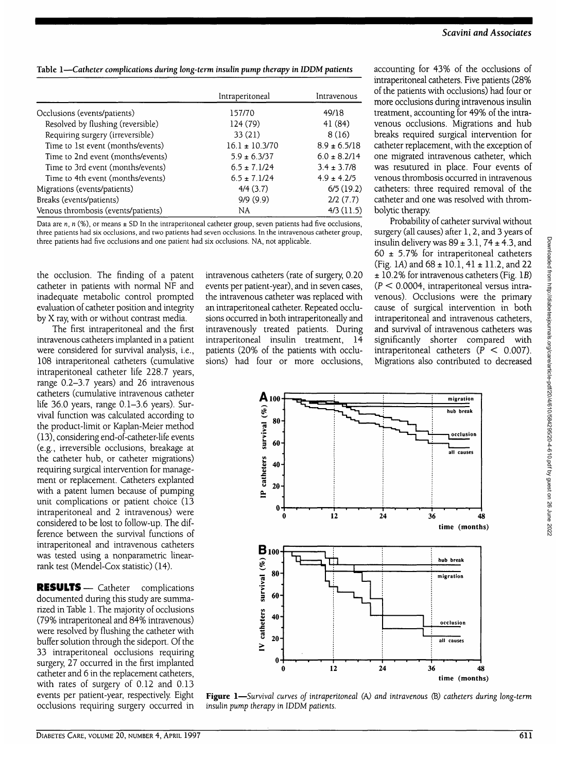**Table 1—***Catheter complications during long-term insulin pump therapy in IDDM patients*

|                                     | Intraperitoneal    | Intravenous      |
|-------------------------------------|--------------------|------------------|
| Occlusions (events/patients)        | 157/70             | 49/18            |
| Resolved by flushing (reversible)   | 124 (79)           | 41(84)           |
| Requiring surgery (irreversible)    | 33(21)             | 8(16)            |
| Time to 1st event (months/events)   | $16.1 \pm 10.3/70$ | $8.9 \pm 6.5/18$ |
| Time to 2nd event (months/events)   | $5.9 \pm 6.3/37$   | $6.0 \pm 8.2/14$ |
| Time to 3rd event (months/events)   | $6.5 \pm 7.1/24$   | $3.4 \pm 3.7/8$  |
| Time to 4th event (months/events)   | $6.5 \pm 7.1/24$   | $4.9 \pm 4.2/5$  |
| Migrations (events/patients)        | 4/4(3.7)           | 6/5(19.2)        |
| Breaks (events/patients)            | 9/9(9.9)           | 2/2(7.7)         |
| Venous thrombosis (events/patients) | NA.                | $4/3$ (11.5)     |

Data are *n*, *n* (%), or means ± SD In the intraperitoneal catheter group, seven patients had five occlusions, three patients had six occlusions, and two patients had seven occlusions. In the intravenous catheter group, three patients had five occlusions and one patient had six occlusions. NA, not applicable.

the occlusion. The finding of a patent catheter in patients with normal NF and inadequate metabolic control prompted evaluation of catheter position and integrity by X ray, with or without contrast media.

The first intraperitoneal and the first intravenous catheters implanted in a patient were considered for survival analysis, i.e., 108 intraperitoneal catheters (cumulative intraperitoneal catheter life 228.7 years, range 0.2-3.7 years) and 26 intravenous catheters (cumulative intravenous catheter life 36.0 years, range 0.1-3.6 years). Survival function was calculated according to the product-limit or Kaplan-Meier method (13), considering end-of-catheter-life events (e.g., irreversible occlusions, breakage at the catheter hub, or catheter migrations) requiring surgical intervention for management or replacement. Catheters explanted with a patent lumen because of pumping unit complications or patient choice (13 intraperitoneal and 2 intravenous) were considered to be lost to follow-up. The difference between the survival functions of intraperitoneal and intravenous catheters was tested using a nonparametric linearrank test (Mendel-Cox statistic) (14).

RESULTS— Catheter complications documented during this study are summarized in Table 1. The majority of occlusions (79% intraperitoneal and 84% intravenous) were resolved by flushing the catheter with buffer solution through the sideport. Of the 33 intraperitoneal occlusions requiring surgery, 27 occurred in the first implanted catheter and 6 in the replacement catheters, with rates of surgery of 0.12 and 0.13 events per patient-year, respectively. Eight occlusions requiring surgery occurred in

intravenous catheters (rate of surgery, 0.20 events per patient-year), and in seven cases, the intravenous catheter was replaced with an intraperitoneal catheter. Repeated occlusions occurred in both intraperitoneally and intravenously treated patients. During intraperitoneal insulin treatment, 14 patients (20% of the patients with occlusions) had four or more occlusions,

accounting for 43% of the occlusions of intraperitoneal catheters. Five patients (28% of the patients with occlusions) had four or more occlusions during intravenous insulin treatment, accounting for 49% of the intravenous occlusions. Migrations and hub breaks required surgical intervention for catheter replacement, with the exception of one migrated intravenous catheter, which was resutured in place. Four events of venous thrombosis occurred in intravenous catheters: three required removal of the catheter and one was resolved with thrombolytic therapy

Probability of catheter survival without surgery (all causes) after 1, 2, and 3 years of insulin delivery was  $89 \pm 3.1$ ,  $74 \pm 4.3$ , and 60  $\pm$  5.7% for intraperitoneal catheters (Fig. 1A) and  $68 \pm 10.1$ ,  $41 \pm 11.2$ , and 22 ± 10.2% for intravenous catheters (Fig. IB)  $(P < 0.0004$ , intraperitoneal versus intravenous). Occlusions were the primary cause of surgical intervention in both intraperitoneal and intravenous catheters, and survival of intravenous catheters was significantly shorter compared with intraperitoneal catheters  $(P < 0.007)$ . Migrations also contributed to decreased



**Figure 1**—*Survival curves of intraperitoneal (A) and intravenous* (B) *catheters during long-term insulin pump therapy in IDDM patients.*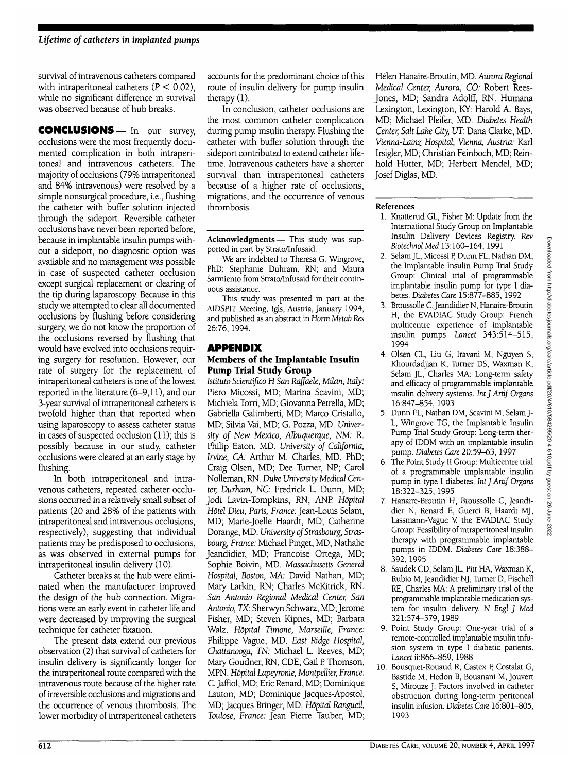survival of intravenous catheters compared with intraperitoneal catheters ( $P < 0.02$ ), while no significant difference in survival was observed because of hub breaks.

**CONCLUSIONS—** In our survey, occlusions were the most frequently documented complication in both intraperitoneal and intravenous catheters. The majority of occlusions (79% intraperitoneal and 84% intravenous) were resolved by a simple nonsurgical procedure, i.e., flushing the catheter with buffer solution injected through the sideport. Reversible catheter occlusions have never been reported before, because in implantable insulin pumps without a sideport, no diagnostic option was available and no management was possible in case of suspected catheter occlusion except surgical replacement or clearing of the tip during laparoscopy. Because in this study we attempted to clear all documented occlusions by flushing before considering surgery, we do not know the proportion of the occlusions reversed by flushing that would have evolved into occlusions requiring surgery for resolution. However, our rate of surgery for the replacement of intraperitoneal catheters is one of the lowest reported in the literature (6-9,11), and our 3-year survival of intraperitoneal catheters is twofold higher than that reported when using laparoscopy to assess catheter status in cases of suspected occlusion (11); this is possibly because in our study, catheter occlusions were cleared at an early stage by flushing.

In both intraperitoneal and intravenous catheters, repeated catheter occlusions occurred in a relatively small subset of patients (20 and 28% of the patients with intraperitoneal and intravenous occlusions, respectively), suggesting that individual patients may be predisposed to occlusions, as was observed in external pumps for intraperitoneal insulin delivery (10).

Catheter breaks at the hub were eliminated when the manufacturer improved the design of the hub connection. Migrations were an early event in catheter life and were decreased by improving the surgical technique for catheter fixation.

The present data extend our previous observation (2) that survival of catheters for insulin delivery is significantly longer for the intraperitoneal route compared with the intravenous route because of the higher rate of irreversible occlusions and migrations and the occurrence of venous thrombosis. The lower morbidity of intraperitoneal catheters accounts for the predominant choice of this route of insulin delivery for pump insulin therapy (1).

In conclusion, catheter occlusions are the most common catheter complication during pump insulin therapy. Flushing the catheter with buffer solution through the sideport contributed to extend catheter lifetime. Intravenous catheters have a shorter survival than intraperitoneal catheters because of a higher rate of occlusions, migrations, and the occurrence of venous thrombosis.

Acknowledgments— This study was supported in part by Strato/Infusaid.

We are indebted to Theresa G. Wingrove, PhD; Stephanie Duhram, RN; and Maura Sarmiento from Strato/Infusaid for their continuous assistance.

This study was presented in part at the AIDSPIT Meeting, Igls, Austria, January 1994, and published as an abstract in *Horm Metab Res* 26:76,1994.

## **APPENDIX**

### **Members of the Implantable Insulin Pump Trial Study Group**

*Istituto Scientifico H San Raffaele, Milan, Italy:* Piero Micossi, MD; Marina Scavini, MD; Michiela Torri, MD; Giovanna Petrella, MD; Gabriella Galimberti, MD; Marco Cristallo, MD; Silvia Vai, MD; G. Pozza, MD. *University of New Mexico, Albuquerque, NM:* R. Philip Eaton, MD. *University of California, Irvine, CA:* Arthur M. Charles, MD, PhD; Craig Olsen, MD; Dee Turner, NP; Carol Nolleman, RN. *Duke University Medical Center, Durham, NC:* Fredrick L. Dunn, MD; Jodi Lavin-Tompkins, RN, ANP *Hopital Hotel Dieu, Paris, France:* Jean-Louis Selam, MD; Marie-Joelle Haardt, MD; Catherine Dorange, MD. *University of Strasbourg, Strasbourg, France:* Michael Pinget, MD; Nathalie Jeandidier, MD; Francoise Ortega, MD; Sophie Boivin, MD. *Massachusetts General Hospital, Boston, MA:* David Nathan, MD; Mary Larkin, RN; Charles McKitrick, RN. *San Antonio Regional Medical Center, San Antonio,* IX: Sherwyn Schwarz, MD; Jerome Fisher, MD; Steven Kipnes, MD; Barbara Walz. *Hopital Timone, Marseille, France:* Philippe Vague, MD. *East Ridge Hospital, Chattanooga, TN:* Michael L. Reeves, MD; Mary Goudner, RN, CDE; Gail P Thomson, MPN. *Hopital Lapeyronie, Montpellier, France:* C. Jaffiol, MD; Eric Renard, MD; Dominique Lauton, MD; Dominique Jacques-Apostol, MD; Jacques Bringer, MD. *Hopital Rangueil, Toulose, France:* Jean Pierre Tauber, MD;

Helen Hanaire-Broutin, MD. *Aurora Regional Medical Center, Aurora, CO:* Robert Rees-Jones, MD; Sandra Adolff, RN. Humana Lexington, Lexington, KY: Harold A. Bays, MD; Michael Pfeifer, MD. *Diabetes Health Center, Salt Lake City, UT:* Dana Clarke, MD. *Vienna-Lainz Hospital, Vienna, Austria:* Karl Irsigler, MD; Christian Feinboch, MD; Reinhold Hutter, MD; Herbert Mendel, MD; Josef Diglas, MD.

### **References**

- 1. Knatterud GL, Fisher M: Update from the International Study Group on Implantable Insulin Delivery Devices Registry. Rev *BiotechnolMed* 13:160-164,1991
- 2. Selam JL, Micossi P, Dunn FL, Nathan DM, the Implantable Insulin Pump Trial Study Group: Clinical trial of programmable implantable insulin pump for type I diabetes. *Diabetes Care* 15:877-885,1992
- 3. Broussolle C, Jeandidier N, Hanaire-Broutin H, the EVADIAC Study Group: French multicentre experience of implantable insulin pumps. *Lancet* 343:514-515, 1994
- 4. Olsen CL, Liu G, Iravani M, Nguyen S, Khourdadjian K, Turner DS, Waxman K, Selam JL, Charles MA: Long-term safety and efficacy of programmable implantable insulin delivery systems. *Int J Artif Organs* 16:847-854, 1993
- 5. Dunn FL, Nathan DM, Scavini M, Selam J-L, Wingrove TG, the Implantable Insulin Pump Trial Study Group: Long-term therapy of IDDM with an implantable insulin pump. *Diabetes Care* 20:59-63,1997
- 6. The Point Study II Group: Multicentre trial of a programmable implantable insulin pump in type I diabetes. *Int J Artif Organs* 18:322-325,1995
- 7. Hanaire-Broutin H, Broussolle C, Jeandidier N, Renard E, Guerci B, Haardt MJ, Lassmann-Vague V, the EVADIAC Study Group: Feasibility of intraperitoneal insulin therapy with programmable implantable pumps in IDDM. *Diabetes Care* 18:388- 392,1995
- 8. Saudek CD, Selam JL, Pitt HA, Waxman K, Rubio M, Jeandidier NJ, Turner D, Fischell RE, Charles MA: A preliminary trial of the programmable implantable medication system for insulin delivery. *N Engl J Med* 321:574-579, 1989
- 9. Point Study Group: One-year trial of a remote-controlled implantable insulin infusion system in type I diabetic patients. *Lancet* ii:866-869, 1988
- 10. Bousquet-Rouaud R, Castex F, Costalat G, Bastide M, Hedon B, Bouanani M, Jouvert S, Mirouze J: Factors involved in catheter obstruction during long-term peritoneal insulin infusion. *Diabetes Care* 16:801-805, 1993